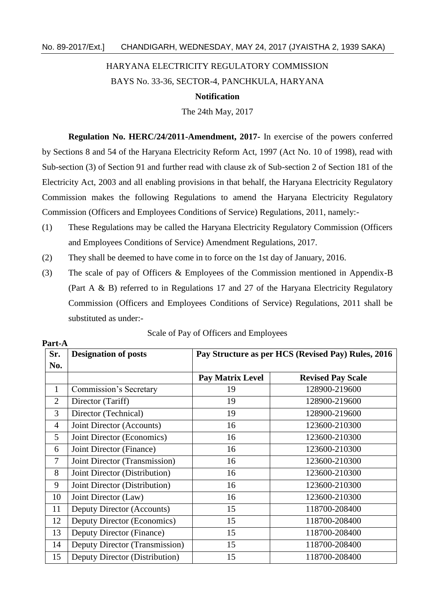## HARYANA ELECTRICITY REGULATORY COMMISSION

## BAYS No. 33-36, SECTOR-4, PANCHKULA, HARYANA

## **Notification**

The 24th May, 2017

**Regulation No. HERC/24/2011-Amendment, 2017-** In exercise of the powers conferred by Sections 8 and 54 of the Haryana Electricity Reform Act, 1997 (Act No. 10 of 1998), read with Sub-section (3) of Section 91 and further read with clause zk of Sub-section 2 of Section 181 of the Electricity Act, 2003 and all enabling provisions in that behalf, the Haryana Electricity Regulatory Commission makes the following Regulations to amend the Haryana Electricity Regulatory Commission (Officers and Employees Conditions of Service) Regulations, 2011, namely:-

- (1) These Regulations may be called the Haryana Electricity Regulatory Commission (Officers and Employees Conditions of Service) Amendment Regulations, 2017.
- (2) They shall be deemed to have come in to force on the 1st day of January, 2016.

**Part-A**

(3) The scale of pay of Officers & Employees of the Commission mentioned in Appendix-B (Part A & B) referred to in Regulations 17 and 27 of the Haryana Electricity Regulatory Commission (Officers and Employees Conditions of Service) Regulations, 2011 shall be substituted as under:-

| Sr.            | <b>Designation of posts</b>    | Pay Structure as per HCS (Revised Pay) Rules, 2016 |                          |  |
|----------------|--------------------------------|----------------------------------------------------|--------------------------|--|
| No.            |                                |                                                    |                          |  |
|                |                                | <b>Pay Matrix Level</b>                            | <b>Revised Pay Scale</b> |  |
| $\mathbf{1}$   | <b>Commission's Secretary</b>  | 19                                                 | 128900-219600            |  |
| $\overline{2}$ | Director (Tariff)              | 19                                                 | 128900-219600            |  |
| 3              | Director (Technical)           | 19                                                 | 128900-219600            |  |
| $\overline{4}$ | Joint Director (Accounts)      | 16                                                 | 123600-210300            |  |
| 5              | Joint Director (Economics)     | 16                                                 | 123600-210300            |  |
| 6              | Joint Director (Finance)       | 16                                                 | 123600-210300            |  |
| 7              | Joint Director (Transmission)  | 16                                                 | 123600-210300            |  |
| 8              | Joint Director (Distribution)  | 16                                                 | 123600-210300            |  |
| 9              | Joint Director (Distribution)  | 16                                                 | 123600-210300            |  |
| 10             | Joint Director (Law)           | 16                                                 | 123600-210300            |  |
| 11             | Deputy Director (Accounts)     | 15                                                 | 118700-208400            |  |
| 12             | Deputy Director (Economics)    | 15                                                 | 118700-208400            |  |
| 13             | Deputy Director (Finance)      | 15                                                 | 118700-208400            |  |
| 14             | Deputy Director (Transmission) | 15                                                 | 118700-208400            |  |
| 15             | Deputy Director (Distribution) | 15                                                 | 118700-208400            |  |

|  |  | Scale of Pay of Officers and Employees |  |  |
|--|--|----------------------------------------|--|--|
|--|--|----------------------------------------|--|--|